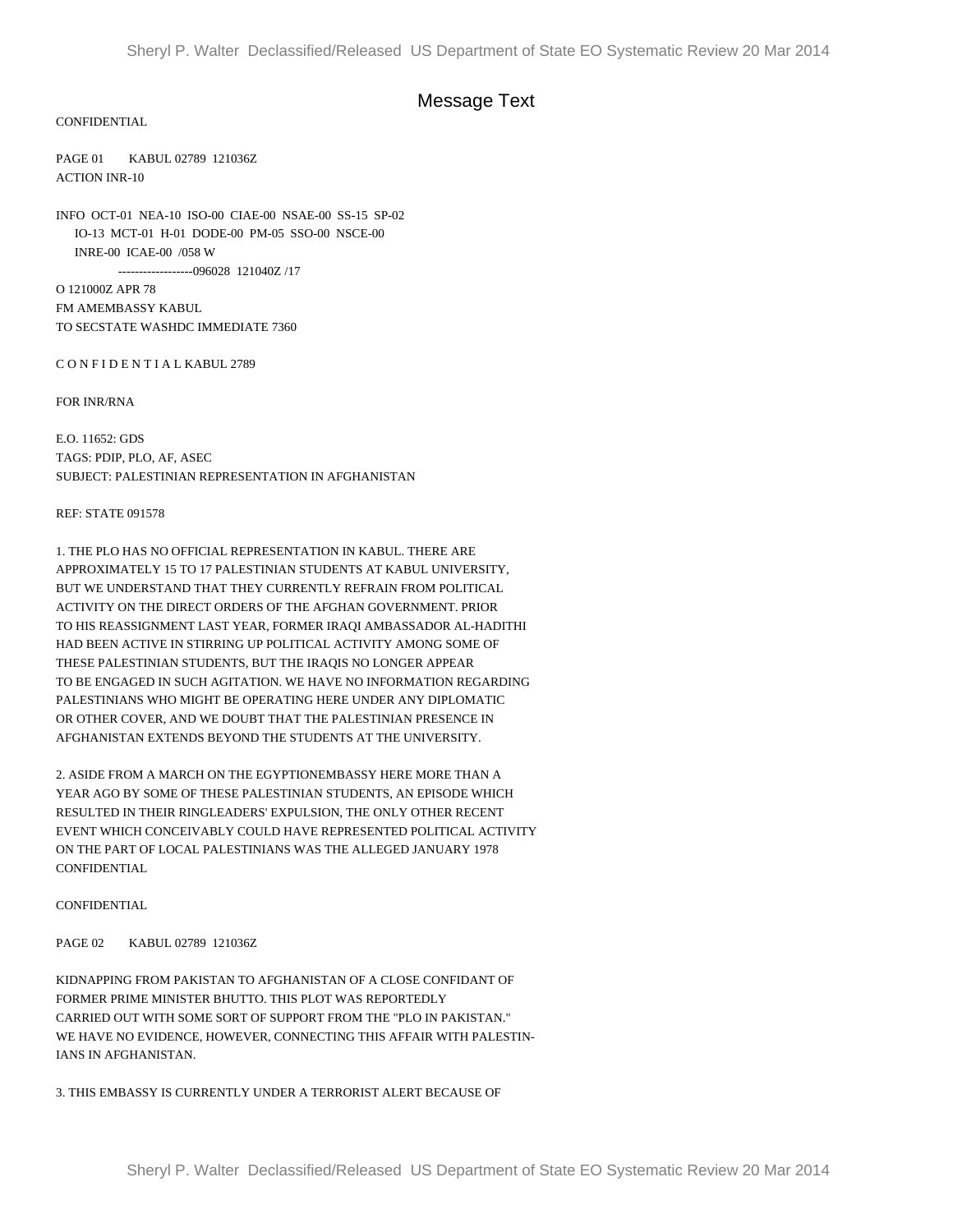# Message Text

### CONFIDENTIAL

PAGE 01 KABUL 02789 121036Z ACTION INR-10

INFO OCT-01 NEA-10 ISO-00 CIAE-00 NSAE-00 SS-15 SP-02 IO-13 MCT-01 H-01 DODE-00 PM-05 SSO-00 NSCE-00 INRE-00 ICAE-00 /058 W ------------------096028 121040Z /17

O 121000Z APR 78 FM AMEMBASSY KABUL TO SECSTATE WASHDC IMMEDIATE 7360

C O N F I D E N T I A L KABUL 2789

FOR INR/RNA

E.O. 11652: GDS TAGS: PDIP, PLO, AF, ASEC SUBJECT: PALESTINIAN REPRESENTATION IN AFGHANISTAN

#### REF: STATE 091578

1. THE PLO HAS NO OFFICIAL REPRESENTATION IN KABUL. THERE ARE APPROXIMATELY 15 TO 17 PALESTINIAN STUDENTS AT KABUL UNIVERSITY, BUT WE UNDERSTAND THAT THEY CURRENTLY REFRAIN FROM POLITICAL ACTIVITY ON THE DIRECT ORDERS OF THE AFGHAN GOVERNMENT. PRIOR TO HIS REASSIGNMENT LAST YEAR, FORMER IRAQI AMBASSADOR AL-HADITHI HAD BEEN ACTIVE IN STIRRING UP POLITICAL ACTIVITY AMONG SOME OF THESE PALESTINIAN STUDENTS, BUT THE IRAQIS NO LONGER APPEAR TO BE ENGAGED IN SUCH AGITATION. WE HAVE NO INFORMATION REGARDING PALESTINIANS WHO MIGHT BE OPERATING HERE UNDER ANY DIPLOMATIC OR OTHER COVER, AND WE DOUBT THAT THE PALESTINIAN PRESENCE IN AFGHANISTAN EXTENDS BEYOND THE STUDENTS AT THE UNIVERSITY.

2. ASIDE FROM A MARCH ON THE EGYPTIONEMBASSY HERE MORE THAN A YEAR AGO BY SOME OF THESE PALESTINIAN STUDENTS, AN EPISODE WHICH RESULTED IN THEIR RINGLEADERS' EXPULSION, THE ONLY OTHER RECENT EVENT WHICH CONCEIVABLY COULD HAVE REPRESENTED POLITICAL ACTIVITY ON THE PART OF LOCAL PALESTINIANS WAS THE ALLEGED JANUARY 1978 CONFIDENTIAL

#### CONFIDENTIAL

PAGE 02 KABUL 02789 121036Z

KIDNAPPING FROM PAKISTAN TO AFGHANISTAN OF A CLOSE CONFIDANT OF FORMER PRIME MINISTER BHUTTO. THIS PLOT WAS REPORTEDLY CARRIED OUT WITH SOME SORT OF SUPPORT FROM THE "PLO IN PAKISTAN." WE HAVE NO EVIDENCE, HOWEVER, CONNECTING THIS AFFAIR WITH PALESTIN-IANS IN AFGHANISTAN.

3. THIS EMBASSY IS CURRENTLY UNDER A TERRORIST ALERT BECAUSE OF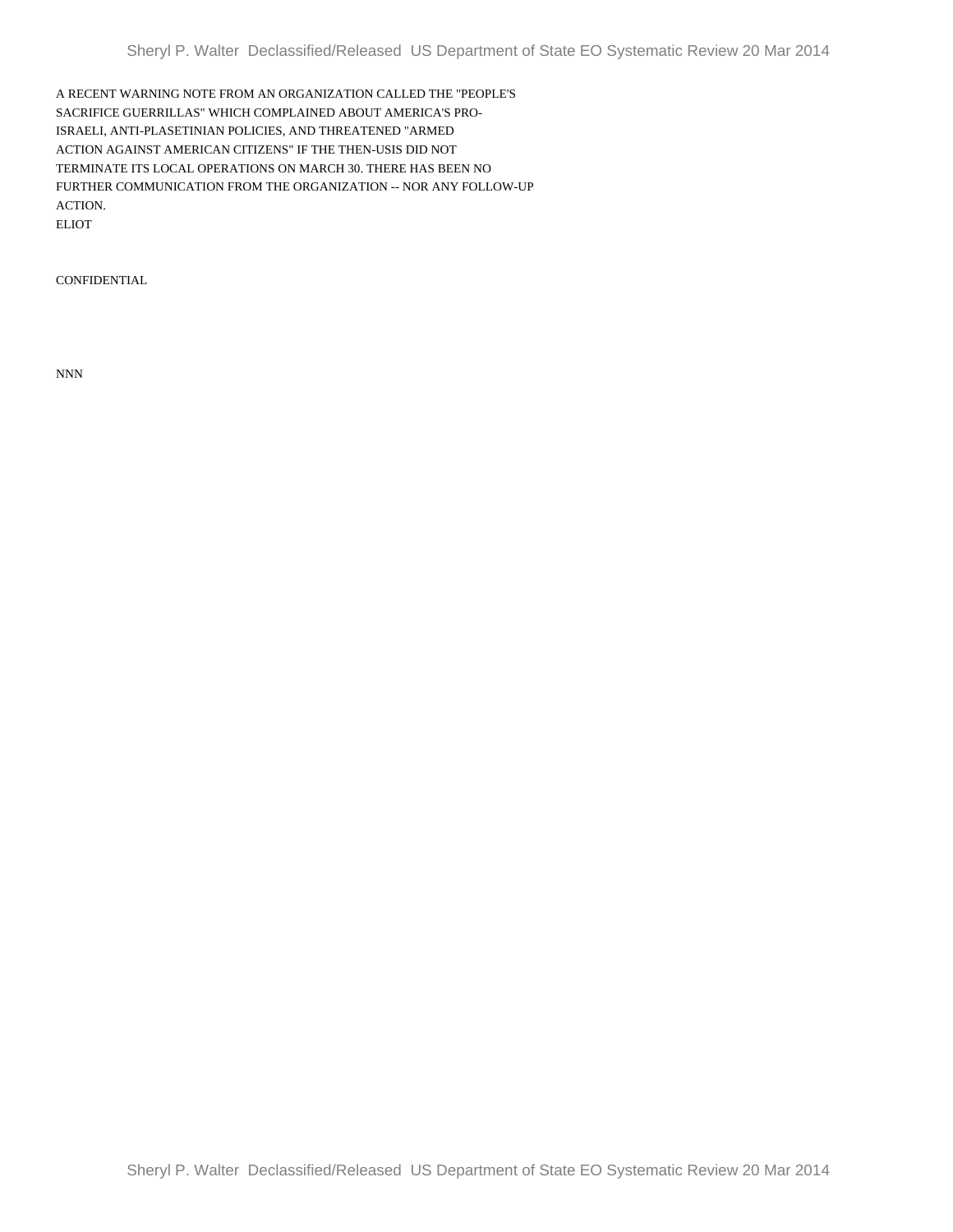A RECENT WARNING NOTE FROM AN ORGANIZATION CALLED THE "PEOPLE'S SACRIFICE GUERRILLAS" WHICH COMPLAINED ABOUT AMERICA'S PRO-ISRAELI, ANTI-PLASETINIAN POLICIES, AND THREATENED "ARMED ACTION AGAINST AMERICAN CITIZENS" IF THE THEN-USIS DID NOT TERMINATE ITS LOCAL OPERATIONS ON MARCH 30. THERE HAS BEEN NO FURTHER COMMUNICATION FROM THE ORGANIZATION -- NOR ANY FOLLOW-UP ACTION. ELIOT

**CONFIDENTIAL** 

NNN